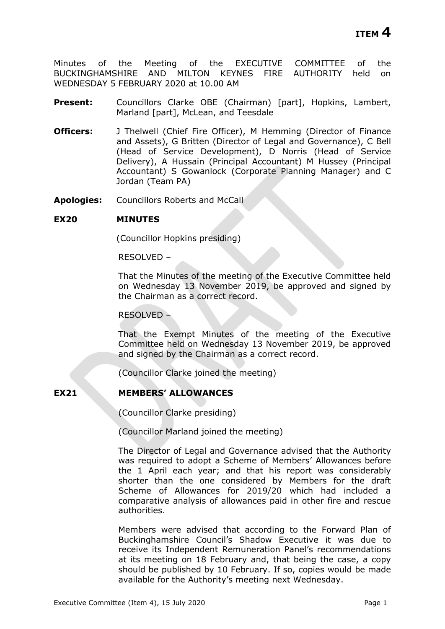Minutes of the Meeting of the EXECUTIVE COMMITTEE of the BUCKINGHAMSHIRE AND MILTON KEYNES FIRE AUTHORITY held on WEDNESDAY 5 FEBRUARY 2020 at 10.00 AM

- **Present:** Councillors Clarke OBE (Chairman) [part], Hopkins, Lambert, Marland [part], McLean, and Teesdale
- **Officers:** J Thelwell (Chief Fire Officer), M Hemming (Director of Finance and Assets), G Britten (Director of Legal and Governance), C Bell (Head of Service Development), D Norris (Head of Service Delivery), A Hussain (Principal Accountant) M Hussey (Principal Accountant) S Gowanlock (Corporate Planning Manager) and C Jordan (Team PA)
- **Apologies:** Councillors Roberts and McCall

## **EX20 MINUTES**

(Councillor Hopkins presiding)

RESOLVED –

That the Minutes of the meeting of the Executive Committee held on Wednesday 13 November 2019, be approved and signed by the Chairman as a correct record.

#### RESOLVED –

That the Exempt Minutes of the meeting of the Executive Committee held on Wednesday 13 November 2019, be approved and signed by the Chairman as a correct record.

(Councillor Clarke joined the meeting)

## **EX21 MEMBERS' ALLOWANCES**

(Councillor Clarke presiding)

(Councillor Marland joined the meeting)

The Director of Legal and Governance advised that the Authority was required to adopt a Scheme of Members' Allowances before the 1 April each year; and that his report was considerably shorter than the one considered by Members for the draft Scheme of Allowances for 2019/20 which had included a comparative analysis of allowances paid in other fire and rescue authorities.

Members were advised that according to the Forward Plan of Buckinghamshire Council's Shadow Executive it was due to receive its Independent Remuneration Panel's recommendations at its meeting on 18 February and, that being the case, a copy should be published by 10 February. If so, copies would be made available for the Authority's meeting next Wednesday.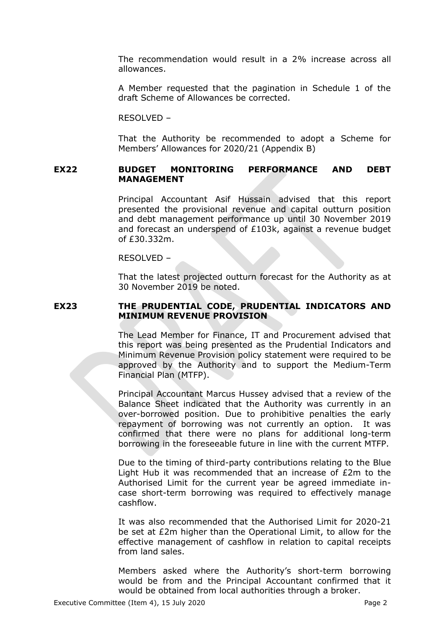The recommendation would result in a 2% increase across all allowances.

A Member requested that the pagination in Schedule 1 of the draft Scheme of Allowances be corrected.

RESOLVED –

That the Authority be recommended to adopt a Scheme for Members' Allowances for 2020/21 (Appendix B)

## **EX22 BUDGET MONITORING PERFORMANCE AND DEBT MANAGEMENT**

Principal Accountant Asif Hussain advised that this report presented the provisional revenue and capital outturn position and debt management performance up until 30 November 2019 and forecast an underspend of £103k, against a revenue budget of £30.332m.

#### RESOLVED –

That the latest projected outturn forecast for the Authority as at 30 November 2019 be noted.

## **EX23 THE PRUDENTIAL CODE, PRUDENTIAL INDICATORS AND MINIMUM REVENUE PROVISION**

The Lead Member for Finance, IT and Procurement advised that this report was being presented as the Prudential Indicators and Minimum Revenue Provision policy statement were required to be approved by the Authority and to support the Medium-Term Financial Plan (MTFP).

Principal Accountant Marcus Hussey advised that a review of the Balance Sheet indicated that the Authority was currently in an over-borrowed position. Due to prohibitive penalties the early repayment of borrowing was not currently an option. It was confirmed that there were no plans for additional long-term borrowing in the foreseeable future in line with the current MTFP.

Due to the timing of third-party contributions relating to the Blue Light Hub it was recommended that an increase of £2m to the Authorised Limit for the current year be agreed immediate incase short-term borrowing was required to effectively manage cashflow.

It was also recommended that the Authorised Limit for 2020-21 be set at £2m higher than the Operational Limit, to allow for the effective management of cashflow in relation to capital receipts from land sales.

Members asked where the Authority's short-term borrowing would be from and the Principal Accountant confirmed that it would be obtained from local authorities through a broker.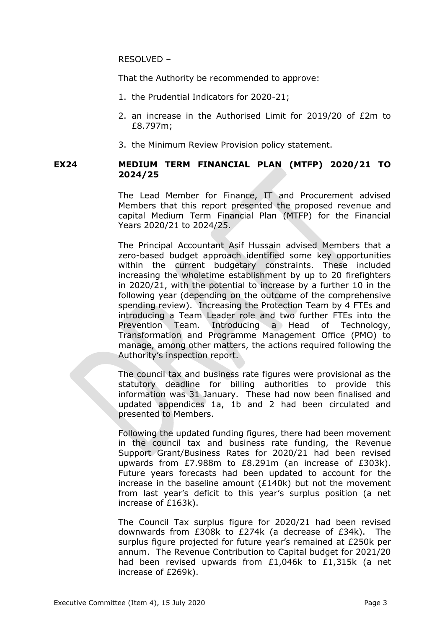RESOLVED –

That the Authority be recommended to approve:

- 1. the Prudential Indicators for 2020-21;
- 2. an increase in the Authorised Limit for 2019/20 of £2m to £8.797m;
- 3. the Minimum Review Provision policy statement.

## **EX24 MEDIUM TERM FINANCIAL PLAN (MTFP) 2020/21 TO 2024/25**

The Lead Member for Finance, IT and Procurement advised Members that this report presented the proposed revenue and capital Medium Term Financial Plan (MTFP) for the Financial Years 2020/21 to 2024/25.

The Principal Accountant Asif Hussain advised Members that a zero-based budget approach identified some key opportunities within the current budgetary constraints. These included increasing the wholetime establishment by up to 20 firefighters in 2020/21, with the potential to increase by a further 10 in the following year (depending on the outcome of the comprehensive spending review). Increasing the Protection Team by 4 FTEs and introducing a Team Leader role and two further FTEs into the Prevention Team. Introducing a Head of Technology, Transformation and Programme Management Office (PMO) to manage, among other matters, the actions required following the Authority's inspection report.

The council tax and business rate figures were provisional as the statutory deadline for billing authorities to provide this information was 31 January. These had now been finalised and updated appendices 1a, 1b and 2 had been circulated and presented to Members.

Following the updated funding figures, there had been movement in the council tax and business rate funding, the Revenue Support Grant/Business Rates for 2020/21 had been revised upwards from £7.988m to £8.291m (an increase of £303k). Future years forecasts had been updated to account for the increase in the baseline amount (£140k) but not the movement from last year's deficit to this year's surplus position (a net increase of £163k).

The Council Tax surplus figure for 2020/21 had been revised downwards from £308k to £274k (a decrease of £34k). The surplus figure projected for future year's remained at £250k per annum. The Revenue Contribution to Capital budget for 2021/20 had been revised upwards from £1,046k to £1,315k (a net increase of £269k).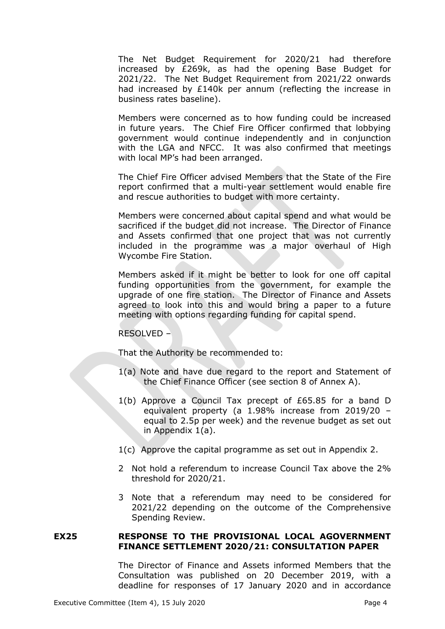The Net Budget Requirement for 2020/21 had therefore increased by £269k, as had the opening Base Budget for 2021/22. The Net Budget Requirement from 2021/22 onwards had increased by £140k per annum (reflecting the increase in business rates baseline).

Members were concerned as to how funding could be increased in future years. The Chief Fire Officer confirmed that lobbying government would continue independently and in conjunction with the LGA and NFCC. It was also confirmed that meetings with local MP's had been arranged.

The Chief Fire Officer advised Members that the State of the Fire report confirmed that a multi-year settlement would enable fire and rescue authorities to budget with more certainty.

Members were concerned about capital spend and what would be sacrificed if the budget did not increase. The Director of Finance and Assets confirmed that one project that was not currently included in the programme was a major overhaul of High Wycombe Fire Station.

Members asked if it might be better to look for one off capital funding opportunities from the government, for example the upgrade of one fire station. The Director of Finance and Assets agreed to look into this and would bring a paper to a future meeting with options regarding funding for capital spend.

## RESOLVED –

That the Authority be recommended to:

- 1(a) Note and have due regard to the report and Statement of the Chief Finance Officer (see section 8 of Annex A).
- 1(b) Approve a Council Tax precept of £65.85 for a band D equivalent property (a 1.98% increase from 2019/20 – equal to 2.5p per week) and the revenue budget as set out in Appendix 1(a).
- 1(c) Approve the capital programme as set out in Appendix 2.
- 2 Not hold a referendum to increase Council Tax above the 2% threshold for 2020/21.
- 3 Note that a referendum may need to be considered for 2021/22 depending on the outcome of the Comprehensive Spending Review.

## **EX25 RESPONSE TO THE PROVISIONAL LOCAL AGOVERNMENT FINANCE SETTLEMENT 2020/21: CONSULTATION PAPER**

The Director of Finance and Assets informed Members that the Consultation was published on 20 December 2019, with a deadline for responses of 17 January 2020 and in accordance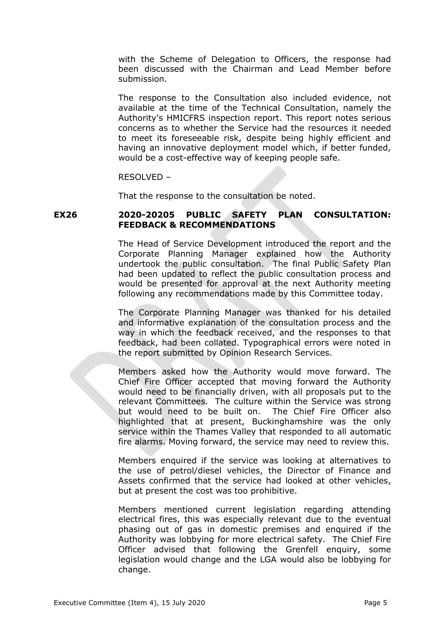with the Scheme of Delegation to Officers, the response had been discussed with the Chairman and Lead Member before submission.

The response to the Consultation also included evidence, not available at the time of the Technical Consultation, namely the Authority's HMICFRS inspection report. This report notes serious concerns as to whether the Service had the resources it needed to meet its foreseeable risk, despite being highly efficient and having an innovative deployment model which, if better funded, would be a cost-effective way of keeping people safe.

RESOLVED –

That the response to the consultation be noted.

# **EX26 2020-20205 PUBLIC SAFETY PLAN CONSULTATION: FEEDBACK & RECOMMENDATIONS**

The Head of Service Development introduced the report and the Corporate Planning Manager explained how the Authority undertook the public consultation. The final Public Safety Plan had been updated to reflect the public consultation process and would be presented for approval at the next Authority meeting following any recommendations made by this Committee today.

The Corporate Planning Manager was thanked for his detailed and informative explanation of the consultation process and the way in which the feedback received, and the responses to that feedback, had been collated. Typographical errors were noted in the report submitted by Opinion Research Services.

Members asked how the Authority would move forward. The Chief Fire Officer accepted that moving forward the Authority would need to be financially driven, with all proposals put to the relevant Committees. The culture within the Service was strong but would need to be built on. The Chief Fire Officer also highlighted that at present, Buckinghamshire was the only service within the Thames Valley that responded to all automatic fire alarms. Moving forward, the service may need to review this.

Members enquired if the service was looking at alternatives to the use of petrol/diesel vehicles, the Director of Finance and Assets confirmed that the service had looked at other vehicles, but at present the cost was too prohibitive.

Members mentioned current legislation regarding attending electrical fires, this was especially relevant due to the eventual phasing out of gas in domestic premises and enquired if the Authority was lobbying for more electrical safety. The Chief Fire Officer advised that following the Grenfell enquiry, some legislation would change and the LGA would also be lobbying for change.